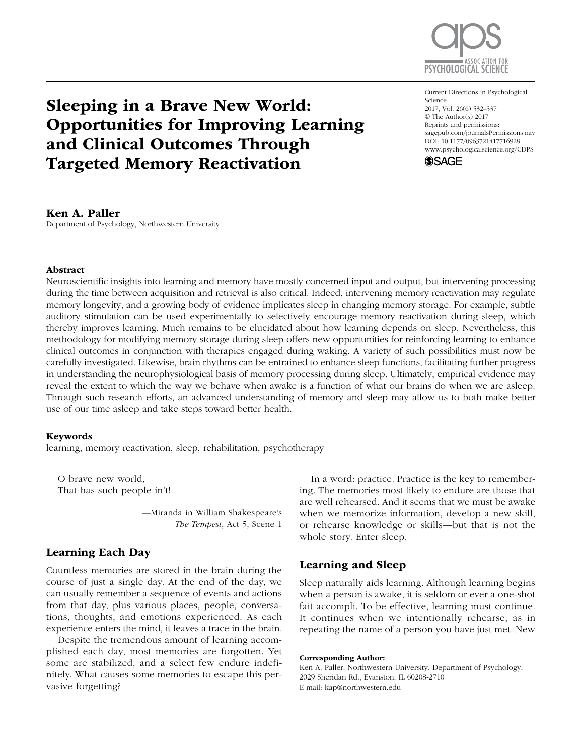

# Sleeping in a Brave New World: Opportunities for Improving Learning and Clinical Outcomes Through Targeted Memory Reactivation

https://doi.org/10.1177/0963721417716928 DOI: 10.1177/0963721417716928 Current Directions in Psychological Science 2017, Vol. 26(6) 532–537 © The Author(s) 2017 Reprints and permissions: [sagepub.com/journalsPermissions.nav](http://sagepub.com/journalsPermissions.nav) [www.psychologicalscience.org/CDPS](http://www.psychologicalscience.org/cdps)



## Ken A. Paller

Department of Psychology, Northwestern University

### Abstract

Neuroscientific insights into learning and memory have mostly concerned input and output, but intervening processing during the time between acquisition and retrieval is also critical. Indeed, intervening memory reactivation may regulate memory longevity, and a growing body of evidence implicates sleep in changing memory storage. For example, subtle auditory stimulation can be used experimentally to selectively encourage memory reactivation during sleep, which thereby improves learning. Much remains to be elucidated about how learning depends on sleep. Nevertheless, this methodology for modifying memory storage during sleep offers new opportunities for reinforcing learning to enhance clinical outcomes in conjunction with therapies engaged during waking. A variety of such possibilities must now be carefully investigated. Likewise, brain rhythms can be entrained to enhance sleep functions, facilitating further progress in understanding the neurophysiological basis of memory processing during sleep. Ultimately, empirical evidence may reveal the extent to which the way we behave when awake is a function of what our brains do when we are asleep. Through such research efforts, an advanced understanding of memory and sleep may allow us to both make better use of our time asleep and take steps toward better health.

## Keywords

learning, memory reactivation, sleep, rehabilitation, psychotherapy

O brave new world, That has such people in't!

> —Miranda in William Shakespeare's *The Tempest*, Act 5, Scene 1

# Learning Each Day

Countless memories are stored in the brain during the course of just a single day. At the end of the day, we can usually remember a sequence of events and actions from that day, plus various places, people, conversations, thoughts, and emotions experienced. As each experience enters the mind, it leaves a trace in the brain.

Despite the tremendous amount of learning accomplished each day, most memories are forgotten. Yet some are stabilized, and a select few endure indefinitely. What causes some memories to escape this pervasive forgetting?

In a word: practice. Practice is the key to remembering. The memories most likely to endure are those that are well rehearsed. And it seems that we must be awake when we memorize information, develop a new skill, or rehearse knowledge or skills—but that is not the whole story. Enter sleep.

# Learning and Sleep

Sleep naturally aids learning. Although learning begins when a person is awake, it is seldom or ever a one-shot fait accompli. To be effective, learning must continue. It continues when we intentionally rehearse, as in repeating the name of a person you have just met. New

Corresponding Author:

Ken A. Paller, Northwestern University, Department of Psychology, 2029 Sheridan Rd., Evanston, IL 60208-2710 E-mail: kap@northwestern.edu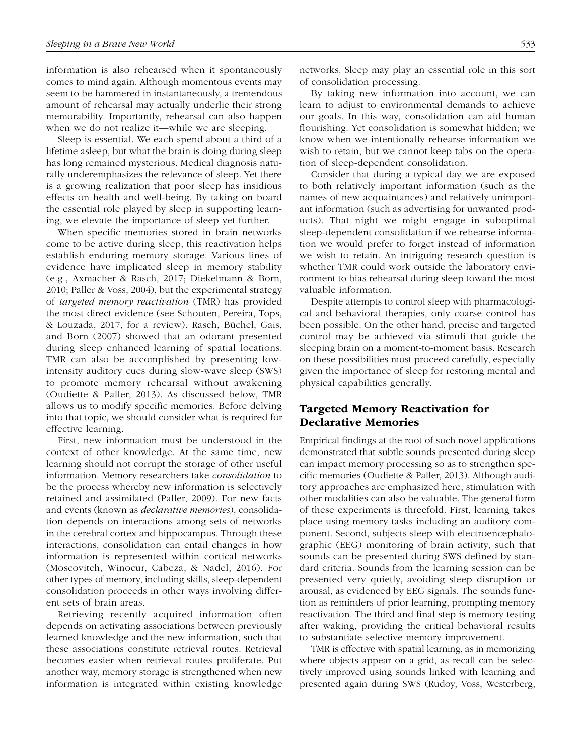information is also rehearsed when it spontaneously comes to mind again. Although momentous events may seem to be hammered in instantaneously, a tremendous amount of rehearsal may actually underlie their strong memorability. Importantly, rehearsal can also happen when we do not realize it—while we are sleeping.

Sleep is essential. We each spend about a third of a lifetime asleep, but what the brain is doing during sleep has long remained mysterious. Medical diagnosis naturally underemphasizes the relevance of sleep. Yet there is a growing realization that poor sleep has insidious effects on health and well-being. By taking on board the essential role played by sleep in supporting learning, we elevate the importance of sleep yet further.

When specific memories stored in brain networks come to be active during sleep, this reactivation helps establish enduring memory storage. Various lines of evidence have implicated sleep in memory stability (e.g., Axmacher & Rasch, 2017; Diekelmann & Born, 2010; Paller & Voss, 2004), but the experimental strategy of *targeted memory reactivation* (TMR) has provided the most direct evidence (see Schouten, Pereira, Tops, & Louzada, 2017, for a review). Rasch, Büchel, Gais, and Born (2007) showed that an odorant presented during sleep enhanced learning of spatial locations. TMR can also be accomplished by presenting lowintensity auditory cues during slow-wave sleep (SWS) to promote memory rehearsal without awakening (Oudiette & Paller, 2013). As discussed below, TMR allows us to modify specific memories. Before delving into that topic, we should consider what is required for effective learning.

First, new information must be understood in the context of other knowledge. At the same time, new learning should not corrupt the storage of other useful information. Memory researchers take *consolidation* to be the process whereby new information is selectively retained and assimilated (Paller, 2009). For new facts and events (known as *declarative memories*), consolidation depends on interactions among sets of networks in the cerebral cortex and hippocampus. Through these interactions, consolidation can entail changes in how information is represented within cortical networks (Moscovitch, Winocur, Cabeza, & Nadel, 2016). For other types of memory, including skills, sleep-dependent consolidation proceeds in other ways involving different sets of brain areas.

Retrieving recently acquired information often depends on activating associations between previously learned knowledge and the new information, such that these associations constitute retrieval routes. Retrieval becomes easier when retrieval routes proliferate. Put another way, memory storage is strengthened when new information is integrated within existing knowledge networks. Sleep may play an essential role in this sort of consolidation processing.

By taking new information into account, we can learn to adjust to environmental demands to achieve our goals. In this way, consolidation can aid human flourishing. Yet consolidation is somewhat hidden; we know when we intentionally rehearse information we wish to retain, but we cannot keep tabs on the operation of sleep-dependent consolidation.

Consider that during a typical day we are exposed to both relatively important information (such as the names of new acquaintances) and relatively unimportant information (such as advertising for unwanted products). That night we might engage in suboptimal sleep-dependent consolidation if we rehearse information we would prefer to forget instead of information we wish to retain. An intriguing research question is whether TMR could work outside the laboratory environment to bias rehearsal during sleep toward the most valuable information.

Despite attempts to control sleep with pharmacological and behavioral therapies, only coarse control has been possible. On the other hand, precise and targeted control may be achieved via stimuli that guide the sleeping brain on a moment-to-moment basis. Research on these possibilities must proceed carefully, especially given the importance of sleep for restoring mental and physical capabilities generally.

# Targeted Memory Reactivation for Declarative Memories

Empirical findings at the root of such novel applications demonstrated that subtle sounds presented during sleep can impact memory processing so as to strengthen specific memories (Oudiette & Paller, 2013). Although auditory approaches are emphasized here, stimulation with other modalities can also be valuable. The general form of these experiments is threefold. First, learning takes place using memory tasks including an auditory component. Second, subjects sleep with electroencephalographic (EEG) monitoring of brain activity, such that sounds can be presented during SWS defined by standard criteria. Sounds from the learning session can be presented very quietly, avoiding sleep disruption or arousal, as evidenced by EEG signals. The sounds function as reminders of prior learning, prompting memory reactivation. The third and final step is memory testing after waking, providing the critical behavioral results to substantiate selective memory improvement.

TMR is effective with spatial learning, as in memorizing where objects appear on a grid, as recall can be selectively improved using sounds linked with learning and presented again during SWS (Rudoy, Voss, Westerberg,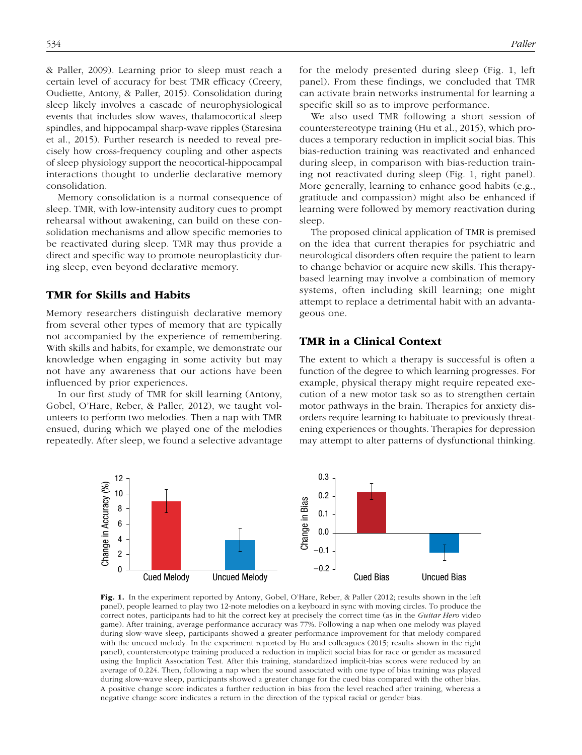& Paller, 2009). Learning prior to sleep must reach a certain level of accuracy for best TMR efficacy (Creery, Oudiette, Antony, & Paller, 2015). Consolidation during sleep likely involves a cascade of neurophysiological events that includes slow waves, thalamocortical sleep spindles, and hippocampal sharp-wave ripples (Staresina et al., 2015). Further research is needed to reveal precisely how cross-frequency coupling and other aspects of sleep physiology support the neocortical-hippocampal interactions thought to underlie declarative memory consolidation.

Memory consolidation is a normal consequence of sleep. TMR, with low-intensity auditory cues to prompt rehearsal without awakening, can build on these consolidation mechanisms and allow specific memories to be reactivated during sleep. TMR may thus provide a direct and specific way to promote neuroplasticity during sleep, even beyond declarative memory.

## TMR for Skills and Habits

Memory researchers distinguish declarative memory from several other types of memory that are typically not accompanied by the experience of remembering. With skills and habits, for example, we demonstrate our knowledge when engaging in some activity but may not have any awareness that our actions have been influenced by prior experiences.

In our first study of TMR for skill learning (Antony, Gobel, O'Hare, Reber, & Paller, 2012), we taught volunteers to perform two melodies. Then a nap with TMR ensued, during which we played one of the melodies repeatedly. After sleep, we found a selective advantage for the melody presented during sleep (Fig. 1, left panel). From these findings, we concluded that TMR can activate brain networks instrumental for learning a specific skill so as to improve performance.

We also used TMR following a short session of counterstereotype training (Hu et al., 2015), which produces a temporary reduction in implicit social bias. This bias-reduction training was reactivated and enhanced during sleep, in comparison with bias-reduction training not reactivated during sleep (Fig. 1, right panel). More generally, learning to enhance good habits (e.g., gratitude and compassion) might also be enhanced if learning were followed by memory reactivation during sleep.

The proposed clinical application of TMR is premised on the idea that current therapies for psychiatric and neurological disorders often require the patient to learn to change behavior or acquire new skills. This therapybased learning may involve a combination of memory systems, often including skill learning; one might attempt to replace a detrimental habit with an advantageous one.

# TMR in a Clinical Context

The extent to which a therapy is successful is often a function of the degree to which learning progresses. For example, physical therapy might require repeated execution of a new motor task so as to strengthen certain motor pathways in the brain. Therapies for anxiety disorders require learning to habituate to previously threatening experiences or thoughts. Therapies for depression may attempt to alter patterns of dysfunctional thinking.



Fig. 1. In the experiment reported by Antony, Gobel, O'Hare, Reber, & Paller (2012; results shown in the left panel), people learned to play two 12-note melodies on a keyboard in sync with moving circles. To produce the correct notes, participants had to hit the correct key at precisely the correct time (as in the *Guitar Hero* video game). After training, average performance accuracy was 77%. Following a nap when one melody was played during slow-wave sleep, participants showed a greater performance improvement for that melody compared with the uncued melody. In the experiment reported by Hu and colleagues (2015; results shown in the right panel), counterstereotype training produced a reduction in implicit social bias for race or gender as measured using the Implicit Association Test. After this training, standardized implicit-bias scores were reduced by an average of 0.224. Then, following a nap when the sound associated with one type of bias training was played during slow-wave sleep, participants showed a greater change for the cued bias compared with the other bias. A positive change score indicates a further reduction in bias from the level reached after training, whereas a negative change score indicates a return in the direction of the typical racial or gender bias.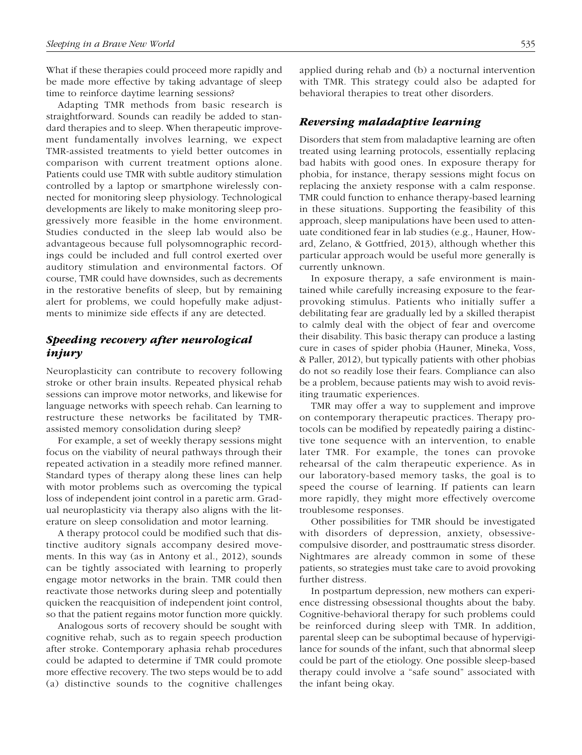What if these therapies could proceed more rapidly and be made more effective by taking advantage of sleep time to reinforce daytime learning sessions?

Adapting TMR methods from basic research is straightforward. Sounds can readily be added to standard therapies and to sleep. When therapeutic improvement fundamentally involves learning, we expect TMR-assisted treatments to yield better outcomes in comparison with current treatment options alone. Patients could use TMR with subtle auditory stimulation controlled by a laptop or smartphone wirelessly connected for monitoring sleep physiology. Technological developments are likely to make monitoring sleep progressively more feasible in the home environment. Studies conducted in the sleep lab would also be advantageous because full polysomnographic recordings could be included and full control exerted over auditory stimulation and environmental factors. Of course, TMR could have downsides, such as decrements in the restorative benefits of sleep, but by remaining alert for problems, we could hopefully make adjustments to minimize side effects if any are detected.

# *Speeding recovery after neurological injury*

Neuroplasticity can contribute to recovery following stroke or other brain insults. Repeated physical rehab sessions can improve motor networks, and likewise for language networks with speech rehab. Can learning to restructure these networks be facilitated by TMRassisted memory consolidation during sleep?

For example, a set of weekly therapy sessions might focus on the viability of neural pathways through their repeated activation in a steadily more refined manner. Standard types of therapy along these lines can help with motor problems such as overcoming the typical loss of independent joint control in a paretic arm. Gradual neuroplasticity via therapy also aligns with the literature on sleep consolidation and motor learning.

A therapy protocol could be modified such that distinctive auditory signals accompany desired movements. In this way (as in Antony et al., 2012), sounds can be tightly associated with learning to properly engage motor networks in the brain. TMR could then reactivate those networks during sleep and potentially quicken the reacquisition of independent joint control, so that the patient regains motor function more quickly.

Analogous sorts of recovery should be sought with cognitive rehab, such as to regain speech production after stroke. Contemporary aphasia rehab procedures could be adapted to determine if TMR could promote more effective recovery. The two steps would be to add (a) distinctive sounds to the cognitive challenges applied during rehab and (b) a nocturnal intervention with TMR. This strategy could also be adapted for behavioral therapies to treat other disorders.

## *Reversing maladaptive learning*

Disorders that stem from maladaptive learning are often treated using learning protocols, essentially replacing bad habits with good ones. In exposure therapy for phobia, for instance, therapy sessions might focus on replacing the anxiety response with a calm response. TMR could function to enhance therapy-based learning in these situations. Supporting the feasibility of this approach, sleep manipulations have been used to attenuate conditioned fear in lab studies (e.g., Hauner, Howard, Zelano, & Gottfried, 2013), although whether this particular approach would be useful more generally is currently unknown.

In exposure therapy, a safe environment is maintained while carefully increasing exposure to the fearprovoking stimulus. Patients who initially suffer a debilitating fear are gradually led by a skilled therapist to calmly deal with the object of fear and overcome their disability. This basic therapy can produce a lasting cure in cases of spider phobia (Hauner, Mineka, Voss, & Paller, 2012), but typically patients with other phobias do not so readily lose their fears. Compliance can also be a problem, because patients may wish to avoid revisiting traumatic experiences.

TMR may offer a way to supplement and improve on contemporary therapeutic practices. Therapy protocols can be modified by repeatedly pairing a distinctive tone sequence with an intervention, to enable later TMR. For example, the tones can provoke rehearsal of the calm therapeutic experience. As in our laboratory-based memory tasks, the goal is to speed the course of learning. If patients can learn more rapidly, they might more effectively overcome troublesome responses.

Other possibilities for TMR should be investigated with disorders of depression, anxiety, obsessivecompulsive disorder, and posttraumatic stress disorder. Nightmares are already common in some of these patients, so strategies must take care to avoid provoking further distress.

In postpartum depression, new mothers can experience distressing obsessional thoughts about the baby. Cognitive-behavioral therapy for such problems could be reinforced during sleep with TMR. In addition, parental sleep can be suboptimal because of hypervigilance for sounds of the infant, such that abnormal sleep could be part of the etiology. One possible sleep-based therapy could involve a "safe sound" associated with the infant being okay.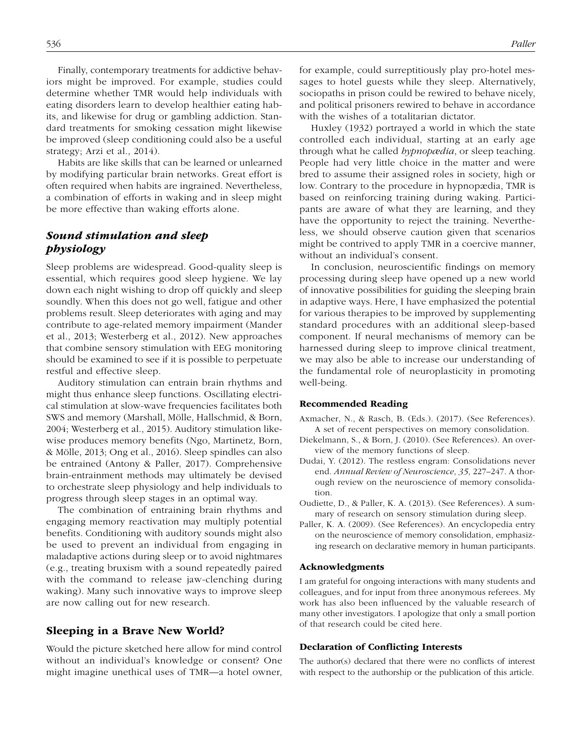Finally, contemporary treatments for addictive behaviors might be improved. For example, studies could determine whether TMR would help individuals with eating disorders learn to develop healthier eating habits, and likewise for drug or gambling addiction. Standard treatments for smoking cessation might likewise be improved (sleep conditioning could also be a useful strategy; Arzi et al., 2014).

Habits are like skills that can be learned or unlearned by modifying particular brain networks. Great effort is often required when habits are ingrained. Nevertheless, a combination of efforts in waking and in sleep might be more effective than waking efforts alone.

# *Sound stimulation and sleep physiology*

Sleep problems are widespread. Good-quality sleep is essential, which requires good sleep hygiene. We lay down each night wishing to drop off quickly and sleep soundly. When this does not go well, fatigue and other problems result. Sleep deteriorates with aging and may contribute to age-related memory impairment (Mander et al., 2013; Westerberg et al., 2012). New approaches that combine sensory stimulation with EEG monitoring should be examined to see if it is possible to perpetuate restful and effective sleep.

Auditory stimulation can entrain brain rhythms and might thus enhance sleep functions. Oscillating electrical stimulation at slow-wave frequencies facilitates both SWS and memory (Marshall, Mölle, Hallschmid, & Born, 2004; Westerberg et al., 2015). Auditory stimulation likewise produces memory benefits (Ngo, Martinetz, Born, & Mölle, 2013; Ong et al., 2016). Sleep spindles can also be entrained (Antony & Paller, 2017). Comprehensive brain-entrainment methods may ultimately be devised to orchestrate sleep physiology and help individuals to progress through sleep stages in an optimal way.

The combination of entraining brain rhythms and engaging memory reactivation may multiply potential benefits. Conditioning with auditory sounds might also be used to prevent an individual from engaging in maladaptive actions during sleep or to avoid nightmares (e.g., treating bruxism with a sound repeatedly paired with the command to release jaw-clenching during waking). Many such innovative ways to improve sleep are now calling out for new research.

# Sleeping in a Brave New World?

Would the picture sketched here allow for mind control without an individual's knowledge or consent? One might imagine unethical uses of TMR—a hotel owner, for example, could surreptitiously play pro-hotel messages to hotel guests while they sleep. Alternatively, sociopaths in prison could be rewired to behave nicely, and political prisoners rewired to behave in accordance with the wishes of a totalitarian dictator.

Huxley (1932) portrayed a world in which the state controlled each individual, starting at an early age through what he called *hypnopædia*, or sleep teaching. People had very little choice in the matter and were bred to assume their assigned roles in society, high or low. Contrary to the procedure in hypnopædia, TMR is based on reinforcing training during waking. Participants are aware of what they are learning, and they have the opportunity to reject the training. Nevertheless, we should observe caution given that scenarios might be contrived to apply TMR in a coercive manner, without an individual's consent.

In conclusion, neuroscientific findings on memory processing during sleep have opened up a new world of innovative possibilities for guiding the sleeping brain in adaptive ways. Here, I have emphasized the potential for various therapies to be improved by supplementing standard procedures with an additional sleep-based component. If neural mechanisms of memory can be harnessed during sleep to improve clinical treatment, we may also be able to increase our understanding of the fundamental role of neuroplasticity in promoting well-being.

#### Recommended Reading

- Axmacher, N., & Rasch, B. (Eds.). (2017). (See References). A set of recent perspectives on memory consolidation.
- Diekelmann, S., & Born, J. (2010). (See References). An overview of the memory functions of sleep.
- Dudai, Y. (2012). The restless engram: Consolidations never end. *Annual Review of Neuroscience*, *35*, 227–247. A thorough review on the neuroscience of memory consolidation.
- Oudiette, D., & Paller, K. A. (2013). (See References). A summary of research on sensory stimulation during sleep.
- Paller, K. A. (2009). (See References). An encyclopedia entry on the neuroscience of memory consolidation, emphasizing research on declarative memory in human participants.

#### Acknowledgments

I am grateful for ongoing interactions with many students and colleagues, and for input from three anonymous referees. My work has also been influenced by the valuable research of many other investigators. I apologize that only a small portion of that research could be cited here.

## Declaration of Conflicting Interests

The author(s) declared that there were no conflicts of interest with respect to the authorship or the publication of this article.